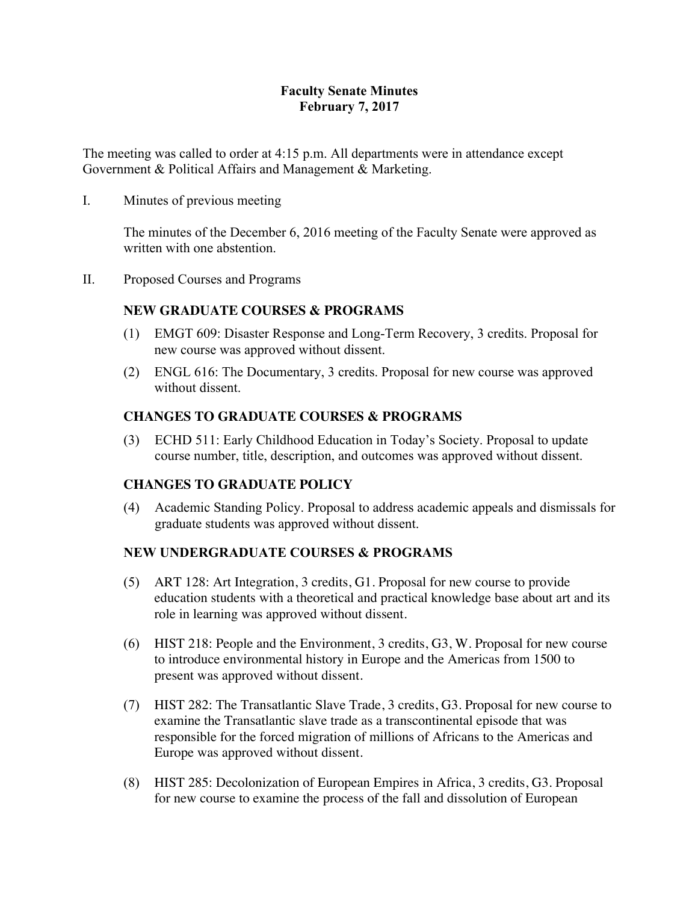## **Faculty Senate Minutes February 7, 2017**

The meeting was called to order at 4:15 p.m. All departments were in attendance except Government & Political Affairs and Management & Marketing.

I. Minutes of previous meeting

The minutes of the December 6, 2016 meeting of the Faculty Senate were approved as written with one abstention.

II. Proposed Courses and Programs

# **NEW GRADUATE COURSES & PROGRAMS**

- (1) EMGT 609: Disaster Response and Long-Term Recovery, 3 credits. Proposal for new course was approved without dissent.
- (2) ENGL 616: The Documentary, 3 credits. Proposal for new course was approved without dissent.

## **CHANGES TO GRADUATE COURSES & PROGRAMS**

(3) ECHD 511: Early Childhood Education in Today's Society. Proposal to update course number, title, description, and outcomes was approved without dissent.

## **CHANGES TO GRADUATE POLICY**

(4) Academic Standing Policy. Proposal to address academic appeals and dismissals for graduate students was approved without dissent.

## **NEW UNDERGRADUATE COURSES & PROGRAMS**

- (5) ART 128: Art Integration, 3 credits, G1. Proposal for new course to provide education students with a theoretical and practical knowledge base about art and its role in learning was approved without dissent.
- (6) HIST 218: People and the Environment, 3 credits, G3, W. Proposal for new course to introduce environmental history in Europe and the Americas from 1500 to present was approved without dissent.
- (7) HIST 282: The Transatlantic Slave Trade, 3 credits, G3. Proposal for new course to examine the Transatlantic slave trade as a transcontinental episode that was responsible for the forced migration of millions of Africans to the Americas and Europe was approved without dissent.
- (8) HIST 285: Decolonization of European Empires in Africa, 3 credits, G3. Proposal for new course to examine the process of the fall and dissolution of European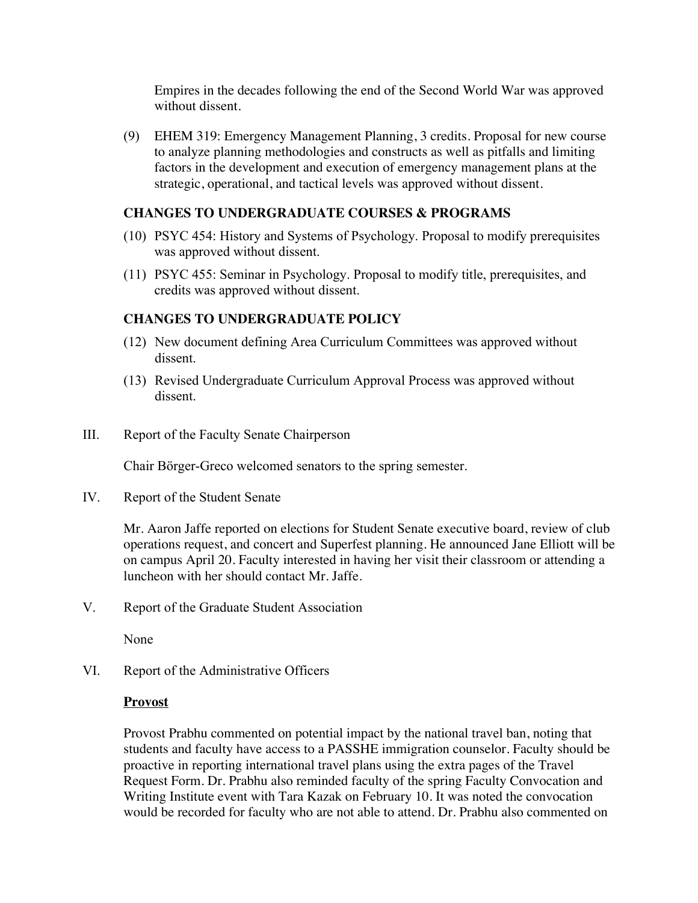Empires in the decades following the end of the Second World War was approved without dissent.

(9) EHEM 319: Emergency Management Planning, 3 credits. Proposal for new course to analyze planning methodologies and constructs as well as pitfalls and limiting factors in the development and execution of emergency management plans at the strategic, operational, and tactical levels was approved without dissent.

### **CHANGES TO UNDERGRADUATE COURSES & PROGRAMS**

- (10) PSYC 454: History and Systems of Psychology. Proposal to modify prerequisites was approved without dissent.
- (11) PSYC 455: Seminar in Psychology. Proposal to modify title, prerequisites, and credits was approved without dissent.

### **CHANGES TO UNDERGRADUATE POLICY**

- (12) New document defining Area Curriculum Committees was approved without dissent.
- (13) Revised Undergraduate Curriculum Approval Process was approved without dissent.
- III. Report of the Faculty Senate Chairperson

Chair Börger-Greco welcomed senators to the spring semester.

IV. Report of the Student Senate

Mr. Aaron Jaffe reported on elections for Student Senate executive board, review of club operations request, and concert and Superfest planning. He announced Jane Elliott will be on campus April 20. Faculty interested in having her visit their classroom or attending a luncheon with her should contact Mr. Jaffe.

V. Report of the Graduate Student Association

None

VI. Report of the Administrative Officers

#### **Provost**

Provost Prabhu commented on potential impact by the national travel ban, noting that students and faculty have access to a PASSHE immigration counselor. Faculty should be proactive in reporting international travel plans using the extra pages of the Travel Request Form. Dr. Prabhu also reminded faculty of the spring Faculty Convocation and Writing Institute event with Tara Kazak on February 10. It was noted the convocation would be recorded for faculty who are not able to attend. Dr. Prabhu also commented on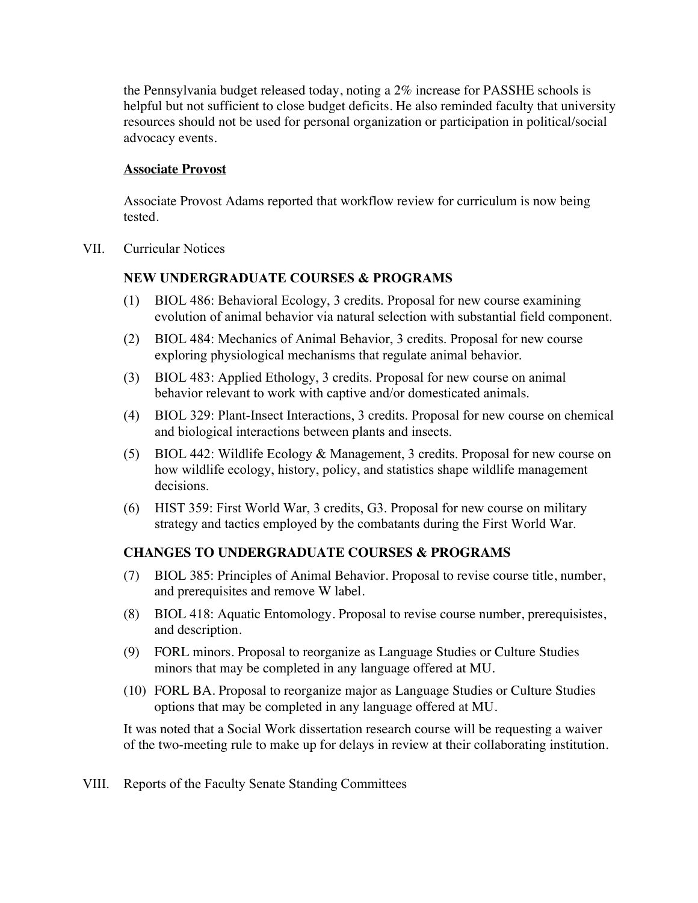the Pennsylvania budget released today, noting a 2% increase for PASSHE schools is helpful but not sufficient to close budget deficits. He also reminded faculty that university resources should not be used for personal organization or participation in political/social advocacy events.

#### **Associate Provost**

Associate Provost Adams reported that workflow review for curriculum is now being tested.

VII. Curricular Notices

## **NEW UNDERGRADUATE COURSES & PROGRAMS**

- (1) BIOL 486: Behavioral Ecology, 3 credits. Proposal for new course examining evolution of animal behavior via natural selection with substantial field component.
- (2) BIOL 484: Mechanics of Animal Behavior, 3 credits. Proposal for new course exploring physiological mechanisms that regulate animal behavior.
- (3) BIOL 483: Applied Ethology, 3 credits. Proposal for new course on animal behavior relevant to work with captive and/or domesticated animals.
- (4) BIOL 329: Plant-Insect Interactions, 3 credits. Proposal for new course on chemical and biological interactions between plants and insects.
- (5) BIOL 442: Wildlife Ecology & Management, 3 credits. Proposal for new course on how wildlife ecology, history, policy, and statistics shape wildlife management decisions.
- (6) HIST 359: First World War, 3 credits, G3. Proposal for new course on military strategy and tactics employed by the combatants during the First World War.

## **CHANGES TO UNDERGRADUATE COURSES & PROGRAMS**

- (7) BIOL 385: Principles of Animal Behavior. Proposal to revise course title, number, and prerequisites and remove W label.
- (8) BIOL 418: Aquatic Entomology. Proposal to revise course number, prerequisistes, and description.
- (9) FORL minors. Proposal to reorganize as Language Studies or Culture Studies minors that may be completed in any language offered at MU.
- (10) FORL BA. Proposal to reorganize major as Language Studies or Culture Studies options that may be completed in any language offered at MU.

It was noted that a Social Work dissertation research course will be requesting a waiver of the two-meeting rule to make up for delays in review at their collaborating institution.

VIII. Reports of the Faculty Senate Standing Committees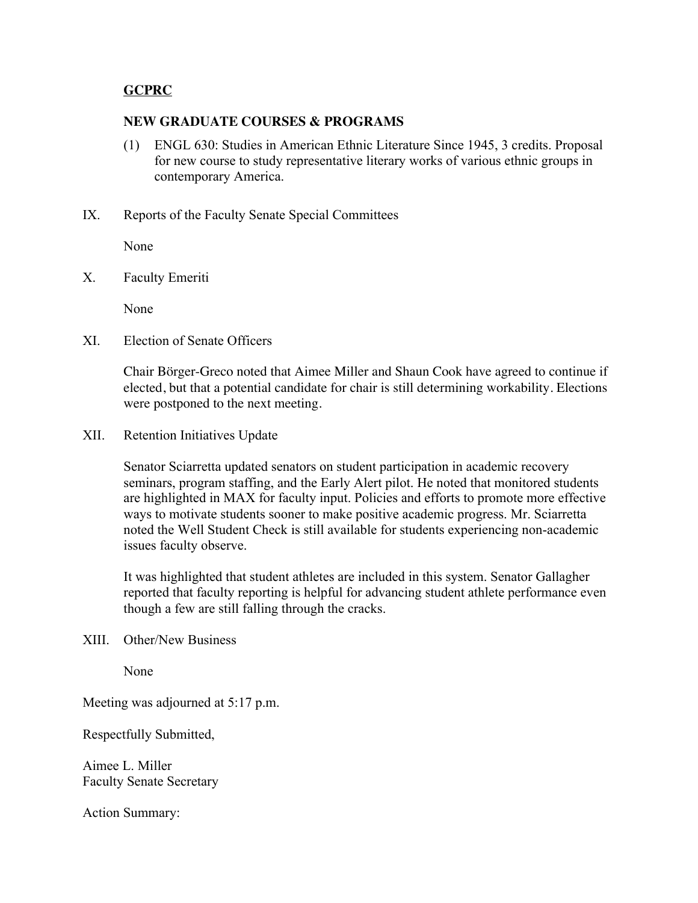### **GCPRC**

#### **NEW GRADUATE COURSES & PROGRAMS**

- (1) ENGL 630: Studies in American Ethnic Literature Since 1945, 3 credits. Proposal for new course to study representative literary works of various ethnic groups in contemporary America.
- IX. Reports of the Faculty Senate Special Committees

None

X. Faculty Emeriti

None

XI. Election of Senate Officers

Chair Börger-Greco noted that Aimee Miller and Shaun Cook have agreed to continue if elected, but that a potential candidate for chair is still determining workability. Elections were postponed to the next meeting.

XII. Retention Initiatives Update

Senator Sciarretta updated senators on student participation in academic recovery seminars, program staffing, and the Early Alert pilot. He noted that monitored students are highlighted in MAX for faculty input. Policies and efforts to promote more effective ways to motivate students sooner to make positive academic progress. Mr. Sciarretta noted the Well Student Check is still available for students experiencing non-academic issues faculty observe.

It was highlighted that student athletes are included in this system. Senator Gallagher reported that faculty reporting is helpful for advancing student athlete performance even though a few are still falling through the cracks.

XIII. Other/New Business

None

Meeting was adjourned at 5:17 p.m.

Respectfully Submitted,

Aimee L. Miller Faculty Senate Secretary

Action Summary: